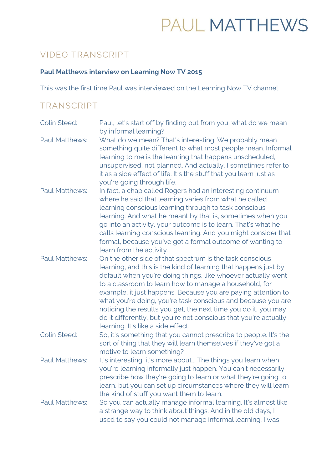# PAUL MATTHEWS

## VIDEO TRANSCRIPT

#### **Paul Matthews interview on Learning Now TV 2015**

This was the first time Paul was interviewed on the Learning Now TV channel.

### TRANSCRIPT

| <b>Colin Steed:</b>   | Paul, let's start off by finding out from you, what do we mean<br>by informal learning?                                                                                                                                                                                                                                                                                                                                                                                                                                                                            |
|-----------------------|--------------------------------------------------------------------------------------------------------------------------------------------------------------------------------------------------------------------------------------------------------------------------------------------------------------------------------------------------------------------------------------------------------------------------------------------------------------------------------------------------------------------------------------------------------------------|
| <b>Paul Matthews:</b> | What do we mean? That's interesting. We probably mean<br>something quite different to what most people mean. Informal<br>learning to me is the learning that happens unscheduled,<br>unsupervised, not planned. And actually, I sometimes refer to<br>it as a side effect of life. It's the stuff that you learn just as<br>you're going through life.                                                                                                                                                                                                             |
| <b>Paul Matthews:</b> | In fact, a chap called Rogers had an interesting continuum<br>where he said that learning varies from what he called<br>learning conscious learning through to task conscious<br>learning. And what he meant by that is, sometimes when you<br>go into an activity, your outcome is to learn. That's what he<br>calls learning conscious learning. And you might consider that<br>formal, because you've got a formal outcome of wanting to<br>learn from the activity.                                                                                            |
| <b>Paul Matthews:</b> | On the other side of that spectrum is the task conscious<br>learning, and this is the kind of learning that happens just by<br>default when you're doing things, like whoever actually went<br>to a classroom to learn how to manage a household, for<br>example, it just happens. Because you are paying attention to<br>what you're doing, you're task conscious and because you are<br>noticing the results you get, the next time you do it, you may<br>do it differently, but you're not conscious that you're actually<br>learning. It's like a side effect. |
| <b>Colin Steed:</b>   | So, it's something that you cannot prescribe to people. It's the<br>sort of thing that they will learn themselves if they've got a<br>motive to learn something?                                                                                                                                                                                                                                                                                                                                                                                                   |
| <b>Paul Matthews:</b> | It's interesting, it's more about The things you learn when<br>you're learning informally just happen. You can't necessarily<br>prescribe how they're going to learn or what they're going to<br>learn, but you can set up circumstances where they will learn<br>the kind of stuff you want them to learn.                                                                                                                                                                                                                                                        |
| <b>Paul Matthews:</b> | So you can actually manage informal learning. It's almost like<br>a strange way to think about things. And in the old days, I<br>used to say you could not manage informal learning. I was                                                                                                                                                                                                                                                                                                                                                                         |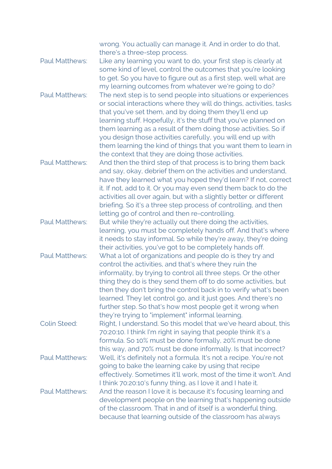|                       | wrong. You actually can manage it. And in order to do that,<br>there's a three-step process.                                                                                                                                                                                                                                                                                                                                                                                                                                      |
|-----------------------|-----------------------------------------------------------------------------------------------------------------------------------------------------------------------------------------------------------------------------------------------------------------------------------------------------------------------------------------------------------------------------------------------------------------------------------------------------------------------------------------------------------------------------------|
| <b>Paul Matthews:</b> | Like any learning you want to do, your first step is clearly at<br>some kind of level, control the outcomes that you're looking<br>to get. So you have to figure out as a first step, well what are                                                                                                                                                                                                                                                                                                                               |
| <b>Paul Matthews:</b> | my learning outcomes from whatever we're going to do?<br>The next step is to send people into situations or experiences<br>or social interactions where they will do things, activities, tasks<br>that you've set them, and by doing them they'll end up<br>learning stuff. Hopefully, it's the stuff that you've planned on<br>them learning as a result of them doing those activities. So if<br>you design those activities carefully, you will end up with<br>them learning the kind of things that you want them to learn in |
| <b>Paul Matthews:</b> | the context that they are doing those activities.<br>And then the third step of that process is to bring them back<br>and say, okay, debrief them on the activities and understand,<br>have they learned what you hoped they'd learn? If not, correct                                                                                                                                                                                                                                                                             |
|                       | it. If not, add to it. Or you may even send them back to do the<br>activities all over again, but with a slightly better or different<br>briefing. So it's a three step process of controlling, and then<br>letting go of control and then re-controlling.                                                                                                                                                                                                                                                                        |
| <b>Paul Matthews:</b> | But while they're actually out there doing the activities,<br>learning, you must be completely hands off. And that's where<br>it needs to stay informal. So while they're away, they're doing<br>their activities, you've got to be completely hands off.                                                                                                                                                                                                                                                                         |
| <b>Paul Matthews:</b> | What a lot of organizations and people do is they try and<br>control the activities, and that's where they ruin the<br>informality, by trying to control all three steps. Or the other<br>thing they do is they send them off to do some activities, but<br>then they don't bring the control back in to verify what's been<br>learned. They let control go, and it just goes. And there's no<br>further step. So that's how most people get it wrong when<br>they're trying to "implement" informal learning.                    |
| <b>Colin Steed:</b>   | Right, I understand. So this model that we've heard about, this<br>70:20:10. I think I'm right in saying that people think it's a<br>formula. So 10% must be done formally, 20% must be done<br>this way, and 70% must be done informally. Is that incorrect?                                                                                                                                                                                                                                                                     |
| <b>Paul Matthews:</b> | Well, it's definitely not a formula. It's not a recipe. You're not<br>going to bake the learning cake by using that recipe<br>effectively. Sometimes it'll work, most of the time it won't. And<br>I think 70:20:10's funny thing, as I love it and I hate it.                                                                                                                                                                                                                                                                    |
| <b>Paul Matthews:</b> | And the reason I love it is because it's focusing learning and<br>development people on the learning that's happening outside<br>of the classroom. That in and of itself is a wonderful thing,<br>because that learning outside of the classroom has always                                                                                                                                                                                                                                                                       |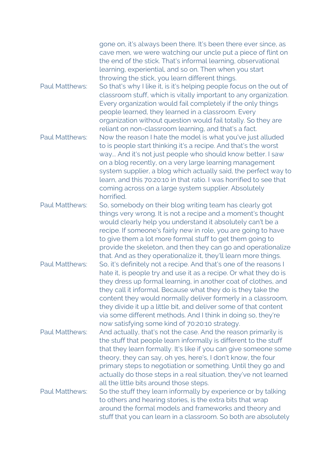|                       | gone on, it's always been there. It's been there ever since, as<br>cave men, we were watching our uncle put a piece of flint on<br>the end of the stick. That's informal learning, observational<br>learning, experiential, and so on. Then when you start<br>throwing the stick, you learn different things.                                                                                                                                                                                                                    |
|-----------------------|----------------------------------------------------------------------------------------------------------------------------------------------------------------------------------------------------------------------------------------------------------------------------------------------------------------------------------------------------------------------------------------------------------------------------------------------------------------------------------------------------------------------------------|
| <b>Paul Matthews:</b> | So that's why I like it, is it's helping people focus on the out of<br>classroom stuff, which is vitally important to any organization.<br>Every organization would fail completely if the only things<br>people learned, they learned in a classroom. Every<br>organization without question would fail totally. So they are                                                                                                                                                                                                    |
| <b>Paul Matthews:</b> | reliant on non-classroom learning, and that's a fact.<br>Now the reason I hate the model is what you've just alluded<br>to is people start thinking it's a recipe. And that's the worst<br>way And it's not just people who should know better. I saw<br>on a blog recently, on a very large learning management<br>system supplier, a blog which actually said, the perfect way to<br>learn, and this 70:20:10 in that ratio. I was horrified to see that<br>coming across on a large system supplier. Absolutely<br>horrified. |
| <b>Paul Matthews:</b> | So, somebody on their blog writing team has clearly got<br>things very wrong. It is not a recipe and a moment's thought<br>would clearly help you understand it absolutely can't be a<br>recipe. If someone's fairly new in role, you are going to have<br>to give them a lot more formal stuff to get them going to<br>provide the skeleton, and then they can go and operationalize<br>that. And as they operationalize it, they'll learn more things.                                                                         |
| <b>Paul Matthews:</b> | So, it's definitely not a recipe. And that's one of the reasons I<br>hate it, is people try and use it as a recipe. Or what they do is<br>they dress up formal learning, in another coat of clothes, and<br>they call it informal. Because what they do is they take the<br>content they would normally deliver formerly in a classroom,<br>they divide it up a little bit, and deliver some of that content<br>via some different methods. And I think in doing so, they're                                                     |
| <b>Paul Matthews:</b> | now satisfying some kind of 70:20:10 strategy.<br>And actually, that's not the case. And the reason primarily is<br>the stuff that people learn informally is different to the stuff<br>that they learn formally. It's like if you can give someone some<br>theory, they can say, oh yes, here's, I don't know, the four<br>primary steps to negotiation or something. Until they go and<br>actually do those steps in a real situation, they've not learned                                                                     |
| <b>Paul Matthews:</b> | all the little bits around those steps.<br>So the stuff they learn informally by experience or by talking<br>to others and hearing stories, is the extra bits that wrap<br>around the formal models and frameworks and theory and<br>stuff that you can learn in a classroom. So both are absolutely                                                                                                                                                                                                                             |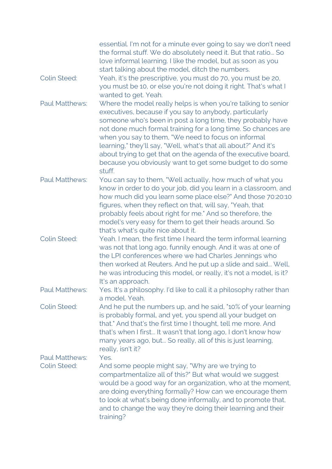|                                              | essential. I'm not for a minute ever going to say we don't need<br>the formal stuff. We do absolutely need it. But that ratio So<br>love informal learning. I like the model, but as soon as you<br>start talking about the model, ditch the numbers.                                                                                                                                                                                                                                                                     |
|----------------------------------------------|---------------------------------------------------------------------------------------------------------------------------------------------------------------------------------------------------------------------------------------------------------------------------------------------------------------------------------------------------------------------------------------------------------------------------------------------------------------------------------------------------------------------------|
| <b>Colin Steed:</b>                          | Yeah, it's the prescriptive, you must do 70, you must be 20,<br>you must be 10, or else you're not doing it right. That's what I<br>wanted to get. Yeah.                                                                                                                                                                                                                                                                                                                                                                  |
| <b>Paul Matthews:</b>                        | Where the model really helps is when you're talking to senior<br>executives, because if you say to anybody, particularly<br>someone who's been in post a long time, they probably have<br>not done much formal training for a long time. So chances are<br>when you say to them, "We need to focus on informal<br>learning," they'll say, "Well, what's that all about?" And it's<br>about trying to get that on the agenda of the executive board,<br>because you obviously want to get some budget to do some<br>stuff. |
| <b>Paul Matthews:</b>                        | You can say to them, "Well actually, how much of what you<br>know in order to do your job, did you learn in a classroom, and<br>how much did you learn some place else?" And those 70:20:10<br>figures, when they reflect on that, will say, "Yeah, that<br>probably feels about right for me." And so therefore, the<br>model's very easy for them to get their heads around. So<br>that's what's quite nice about it.                                                                                                   |
| <b>Colin Steed:</b>                          | Yeah. I mean, the first time I heard the term informal learning<br>was not that long ago, funnily enough. And it was at one of<br>the LPI conferences where we had Charles Jennings who<br>then worked at Reuters. And he put up a slide and said Well,<br>he was introducing this model, or really, it's not a model, is it?<br>It's an approach.                                                                                                                                                                        |
| <b>Paul Matthews:</b>                        | Yes. It's a philosophy. I'd like to call it a philosophy rather than<br>a model. Yeah.                                                                                                                                                                                                                                                                                                                                                                                                                                    |
| <b>Colin Steed:</b>                          | And he put the numbers up, and he said, "10% of your learning<br>is probably formal, and yet, you spend all your budget on<br>that." And that's the first time I thought, tell me more. And<br>that's when I first It wasn't that long ago, I don't know how<br>many years ago, but So really, all of this is just learning,<br>really, isn't it?                                                                                                                                                                         |
| <b>Paul Matthews:</b><br><b>Colin Steed:</b> | Yes.<br>And some people might say, "Why are we trying to<br>compartmentalize all of this?" But what would we suggest<br>would be a good way for an organization, who at the moment,<br>are doing everything formally? How can we encourage them<br>to look at what's being done informally, and to promote that,<br>and to change the way they're doing their learning and their<br>training?                                                                                                                             |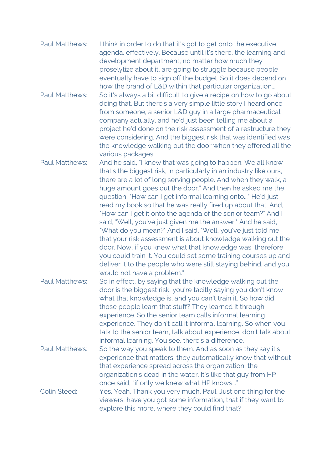| <b>Paul Matthews:</b> | I think in order to do that it's got to get onto the executive<br>agenda, effectively. Because until it's there, the learning and<br>development department, no matter how much they<br>proselytize about it, are going to struggle because people<br>eventually have to sign off the budget. So it does depend on<br>how the brand of L&D within that particular organization                                                                                                                                                                                                                                                                                                                                                                                                                                                                                                           |
|-----------------------|------------------------------------------------------------------------------------------------------------------------------------------------------------------------------------------------------------------------------------------------------------------------------------------------------------------------------------------------------------------------------------------------------------------------------------------------------------------------------------------------------------------------------------------------------------------------------------------------------------------------------------------------------------------------------------------------------------------------------------------------------------------------------------------------------------------------------------------------------------------------------------------|
| <b>Paul Matthews:</b> | So it's always a bit difficult to give a recipe on how to go about<br>doing that. But there's a very simple little story I heard once<br>from someone, a senior L&D guy in a large pharmaceutical<br>company actually, and he'd just been telling me about a<br>project he'd done on the risk assessment of a restructure they<br>were considering. And the biggest risk that was identified was<br>the knowledge walking out the door when they offered all the<br>various packages.                                                                                                                                                                                                                                                                                                                                                                                                    |
| <b>Paul Matthews:</b> | And he said, "I knew that was going to happen. We all know<br>that's the biggest risk, in particularly in an industry like ours,<br>there are a lot of long serving people. And when they walk, a<br>huge amount goes out the door." And then he asked me the<br>question, "How can I get informal learning onto" He'd just<br>read my book so that he was really fired up about that. And,<br>"How can I get it onto the agenda of the senior team?" And I<br>said, "Well, you've just given me the answer." And he said,<br>"What do you mean?" And I said, "Well, you've just told me<br>that your risk assessment is about knowledge walking out the<br>door. Now, if you knew what that knowledge was, therefore<br>you could train it. You could set some training courses up and<br>deliver it to the people who were still staying behind, and you<br>would not have a problem." |
| <b>Paul Matthews:</b> | So in effect, by saying that the knowledge walking out the<br>door is the biggest risk, you're tacitly saying you don't know<br>what that knowledge is, and you can't train it. So how did<br>those people learn that stuff? They learned it through<br>experience. So the senior team calls informal learning,<br>experience. They don't call it informal learning. So when you<br>talk to the senior team, talk about experience, don't talk about<br>informal learning. You see, there's a difference.                                                                                                                                                                                                                                                                                                                                                                                |
| <b>Paul Matthews:</b> | So the way you speak to them. And as soon as they say it's<br>experience that matters, they automatically know that without<br>that experience spread across the organization, the<br>organization's dead in the water. It's like that guy from HP<br>once said, "if only we knew what HP knows"                                                                                                                                                                                                                                                                                                                                                                                                                                                                                                                                                                                         |
| <b>Colin Steed:</b>   | Yes. Yeah. Thank you very much, Paul. Just one thing for the<br>viewers, have you got some information, that if they want to<br>explore this more, where they could find that?                                                                                                                                                                                                                                                                                                                                                                                                                                                                                                                                                                                                                                                                                                           |